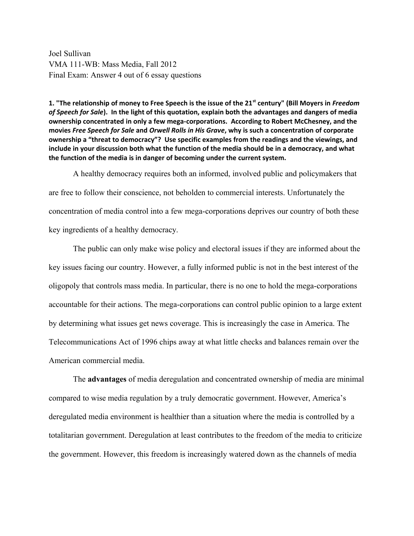Joel Sullivan VMA 111-WB: Mass Media, Fall 2012 Final Exam: Answer 4 out of 6 essay questions

**1. "The relationship of money to Free Speech is the issue of the 21st century" (Bill Moyers in** *Freedom of Speech for Sale***). In the light of this quotation, explain both the advantages and dangers of media ownership concentrated in only a few mega-corporations. According to Robert McChesney, and the movies** *Free Speech for Sale* **and** *Orwell Rolls in His Grave***, why is such a concentration of corporate ownership a "threat to democracy"? Use specific examples from the readings and the viewings, and include in your discussion both what the function of the media should be in a democracy, and what the function of the media is in danger of becoming under the current system.**

A healthy democracy requires both an informed, involved public and policymakers that are free to follow their conscience, not beholden to commercial interests. Unfortunately the concentration of media control into a few mega-corporations deprives our country of both these key ingredients of a healthy democracy.

The public can only make wise policy and electoral issues if they are informed about the key issues facing our country. However, a fully informed public is not in the best interest of the oligopoly that controls mass media. In particular, there is no one to hold the mega-corporations accountable for their actions. The mega-corporations can control public opinion to a large extent by determining what issues get news coverage. This is increasingly the case in America. The Telecommunications Act of 1996 chips away at what little checks and balances remain over the American commercial media.

The **advantages** of media deregulation and concentrated ownership of media are minimal compared to wise media regulation by a truly democratic government. However, America's deregulated media environment is healthier than a situation where the media is controlled by a totalitarian government. Deregulation at least contributes to the freedom of the media to criticize the government. However, this freedom is increasingly watered down as the channels of media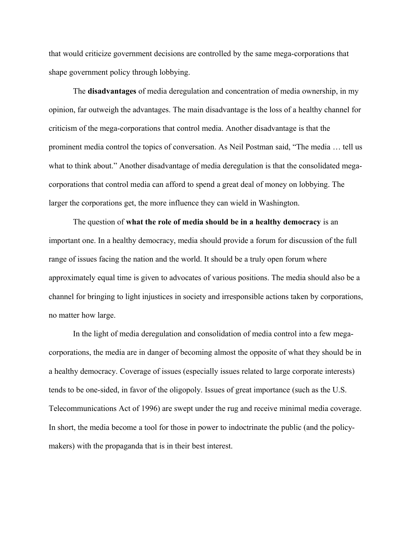that would criticize government decisions are controlled by the same mega-corporations that shape government policy through lobbying.

The **disadvantages** of media deregulation and concentration of media ownership, in my opinion, far outweigh the advantages. The main disadvantage is the loss of a healthy channel for criticism of the mega-corporations that control media. Another disadvantage is that the prominent media control the topics of conversation. As Neil Postman said, "The media … tell us what to think about." Another disadvantage of media deregulation is that the consolidated megacorporations that control media can afford to spend a great deal of money on lobbying. The larger the corporations get, the more influence they can wield in Washington.

The question of **what the role of media should be in a healthy democracy** is an important one. In a healthy democracy, media should provide a forum for discussion of the full range of issues facing the nation and the world. It should be a truly open forum where approximately equal time is given to advocates of various positions. The media should also be a channel for bringing to light injustices in society and irresponsible actions taken by corporations, no matter how large.

In the light of media deregulation and consolidation of media control into a few megacorporations, the media are in danger of becoming almost the opposite of what they should be in a healthy democracy. Coverage of issues (especially issues related to large corporate interests) tends to be one-sided, in favor of the oligopoly. Issues of great importance (such as the U.S. Telecommunications Act of 1996) are swept under the rug and receive minimal media coverage. In short, the media become a tool for those in power to indoctrinate the public (and the policymakers) with the propaganda that is in their best interest.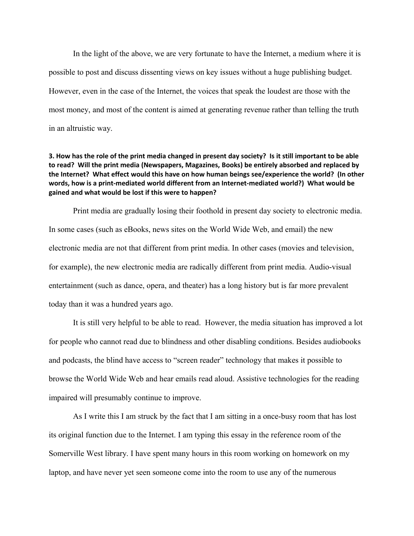In the light of the above, we are very fortunate to have the Internet, a medium where it is possible to post and discuss dissenting views on key issues without a huge publishing budget. However, even in the case of the Internet, the voices that speak the loudest are those with the most money, and most of the content is aimed at generating revenue rather than telling the truth in an altruistic way.

## **3. How has the role of the print media changed in present day society? Is it still important to be able to read? Will the print media (Newspapers, Magazines, Books) be entirely absorbed and replaced by the Internet? What effect would this have on how human beings see/experience the world? (In other words, how is a print-mediated world different from an Internet-mediated world?) What would be gained and what would be lost if this were to happen?**

Print media are gradually losing their foothold in present day society to electronic media. In some cases (such as eBooks, news sites on the World Wide Web, and email) the new electronic media are not that different from print media. In other cases (movies and television, for example), the new electronic media are radically different from print media. Audio-visual entertainment (such as dance, opera, and theater) has a long history but is far more prevalent today than it was a hundred years ago.

It is still very helpful to be able to read. However, the media situation has improved a lot for people who cannot read due to blindness and other disabling conditions. Besides audiobooks and podcasts, the blind have access to "screen reader" technology that makes it possible to browse the World Wide Web and hear emails read aloud. Assistive technologies for the reading impaired will presumably continue to improve.

As I write this I am struck by the fact that I am sitting in a once-busy room that has lost its original function due to the Internet. I am typing this essay in the reference room of the Somerville West library. I have spent many hours in this room working on homework on my laptop, and have never yet seen someone come into the room to use any of the numerous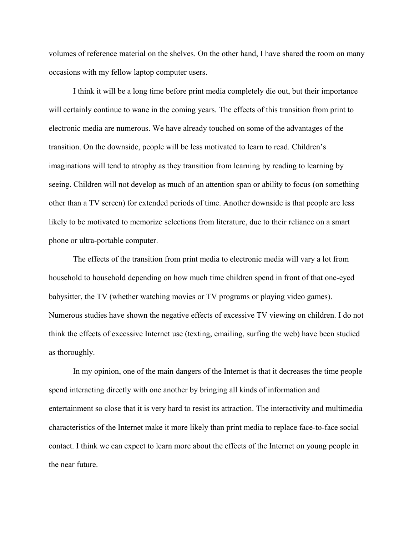volumes of reference material on the shelves. On the other hand, I have shared the room on many occasions with my fellow laptop computer users.

I think it will be a long time before print media completely die out, but their importance will certainly continue to wane in the coming years. The effects of this transition from print to electronic media are numerous. We have already touched on some of the advantages of the transition. On the downside, people will be less motivated to learn to read. Children's imaginations will tend to atrophy as they transition from learning by reading to learning by seeing. Children will not develop as much of an attention span or ability to focus (on something other than a TV screen) for extended periods of time. Another downside is that people are less likely to be motivated to memorize selections from literature, due to their reliance on a smart phone or ultra-portable computer.

The effects of the transition from print media to electronic media will vary a lot from household to household depending on how much time children spend in front of that one-eyed babysitter, the TV (whether watching movies or TV programs or playing video games). Numerous studies have shown the negative effects of excessive TV viewing on children. I do not think the effects of excessive Internet use (texting, emailing, surfing the web) have been studied as thoroughly.

In my opinion, one of the main dangers of the Internet is that it decreases the time people spend interacting directly with one another by bringing all kinds of information and entertainment so close that it is very hard to resist its attraction. The interactivity and multimedia characteristics of the Internet make it more likely than print media to replace face-to-face social contact. I think we can expect to learn more about the effects of the Internet on young people in the near future.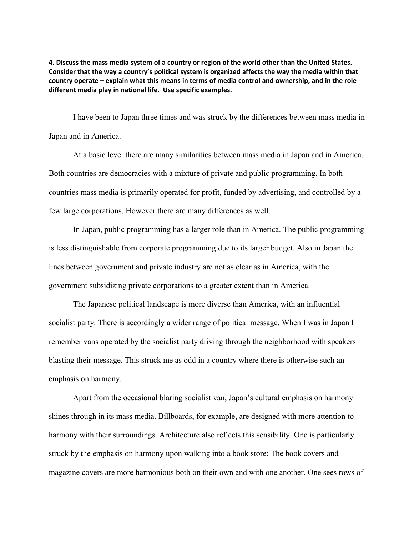**4. Discuss the mass media system of a country or region of the world other than the United States. Consider that the way a country's political system is organized affects the way the media within that country operate – explain what this means in terms of media control and ownership, and in the role different media play in national life. Use specific examples.**

I have been to Japan three times and was struck by the differences between mass media in Japan and in America.

At a basic level there are many similarities between mass media in Japan and in America. Both countries are democracies with a mixture of private and public programming. In both countries mass media is primarily operated for profit, funded by advertising, and controlled by a few large corporations. However there are many differences as well.

In Japan, public programming has a larger role than in America. The public programming is less distinguishable from corporate programming due to its larger budget. Also in Japan the lines between government and private industry are not as clear as in America, with the government subsidizing private corporations to a greater extent than in America.

The Japanese political landscape is more diverse than America, with an influential socialist party. There is accordingly a wider range of political message. When I was in Japan I remember vans operated by the socialist party driving through the neighborhood with speakers blasting their message. This struck me as odd in a country where there is otherwise such an emphasis on harmony.

Apart from the occasional blaring socialist van, Japan's cultural emphasis on harmony shines through in its mass media. Billboards, for example, are designed with more attention to harmony with their surroundings. Architecture also reflects this sensibility. One is particularly struck by the emphasis on harmony upon walking into a book store: The book covers and magazine covers are more harmonious both on their own and with one another. One sees rows of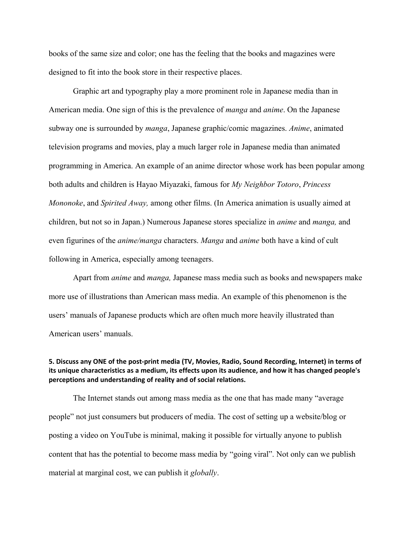books of the same size and color; one has the feeling that the books and magazines were designed to fit into the book store in their respective places.

Graphic art and typography play a more prominent role in Japanese media than in American media. One sign of this is the prevalence of *manga* and *anime*. On the Japanese subway one is surrounded by *manga*, Japanese graphic/comic magazines. *Anime*, animated television programs and movies, play a much larger role in Japanese media than animated programming in America. An example of an anime director whose work has been popular among both adults and children is Hayao Miyazaki, famous for *My Neighbor Totoro*, *Princess Mononoke*, and *Spirited Away,* among other films. (In America animation is usually aimed at children, but not so in Japan.) Numerous Japanese stores specialize in *anime* and *manga,* and even figurines of the *anime/manga* characters. *Manga* and *anime* both have a kind of cult following in America, especially among teenagers.

Apart from *anime* and *manga,* Japanese mass media such as books and newspapers make more use of illustrations than American mass media. An example of this phenomenon is the users' manuals of Japanese products which are often much more heavily illustrated than American users' manuals.

## **5. Discuss any ONE of the post-print media (TV, Movies, Radio, Sound Recording, Internet) in terms of its unique characteristics as a medium, its effects upon its audience, and how it has changed people's perceptions and understanding of reality and of social relations.**

The Internet stands out among mass media as the one that has made many "average people" not just consumers but producers of media. The cost of setting up a website/blog or posting a video on YouTube is minimal, making it possible for virtually anyone to publish content that has the potential to become mass media by "going viral". Not only can we publish material at marginal cost, we can publish it *globally*.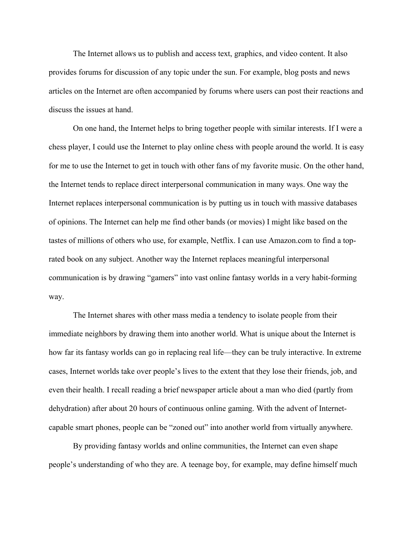The Internet allows us to publish and access text, graphics, and video content. It also provides forums for discussion of any topic under the sun. For example, blog posts and news articles on the Internet are often accompanied by forums where users can post their reactions and discuss the issues at hand.

On one hand, the Internet helps to bring together people with similar interests. If I were a chess player, I could use the Internet to play online chess with people around the world. It is easy for me to use the Internet to get in touch with other fans of my favorite music. On the other hand, the Internet tends to replace direct interpersonal communication in many ways. One way the Internet replaces interpersonal communication is by putting us in touch with massive databases of opinions. The Internet can help me find other bands (or movies) I might like based on the tastes of millions of others who use, for example, Netflix. I can use Amazon.com to find a toprated book on any subject. Another way the Internet replaces meaningful interpersonal communication is by drawing "gamers" into vast online fantasy worlds in a very habit-forming way.

The Internet shares with other mass media a tendency to isolate people from their immediate neighbors by drawing them into another world. What is unique about the Internet is how far its fantasy worlds can go in replacing real life—they can be truly interactive. In extreme cases, Internet worlds take over people's lives to the extent that they lose their friends, job, and even their health. I recall reading a brief newspaper article about a man who died (partly from dehydration) after about 20 hours of continuous online gaming. With the advent of Internetcapable smart phones, people can be "zoned out" into another world from virtually anywhere.

By providing fantasy worlds and online communities, the Internet can even shape people's understanding of who they are. A teenage boy, for example, may define himself much